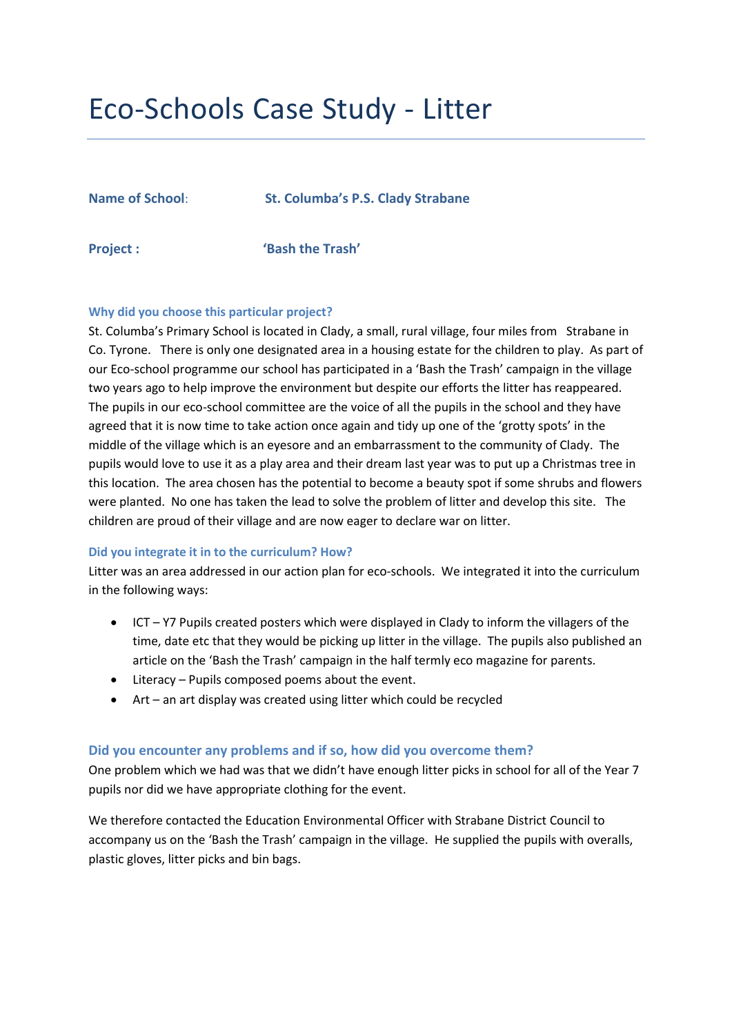# Eco-Schools Case Study - Litter

**Name of School**: **St. Columba's P.S. Clady Strabane**

**Project : 'Bash the Trash'**

#### **Why did you choose this particular project?**

St. Columba's Primary School is located in Clady, a small, rural village, four miles from Strabane in Co. Tyrone. There is only one designated area in a housing estate for the children to play. As part of our Eco-school programme our school has participated in a 'Bash the Trash' campaign in the village two years ago to help improve the environment but despite our efforts the litter has reappeared. The pupils in our eco-school committee are the voice of all the pupils in the school and they have agreed that it is now time to take action once again and tidy up one of the 'grotty spots' in the middle of the village which is an eyesore and an embarrassment to the community of Clady. The pupils would love to use it as a play area and their dream last year was to put up a Christmas tree in this location. The area chosen has the potential to become a beauty spot if some shrubs and flowers were planted. No one has taken the lead to solve the problem of litter and develop this site. The children are proud of their village and are now eager to declare war on litter.

#### **Did you integrate it in to the curriculum? How?**

Litter was an area addressed in our action plan for eco-schools. We integrated it into the curriculum in the following ways:

- ICT Y7 Pupils created posters which were displayed in Clady to inform the villagers of the time, date etc that they would be picking up litter in the village. The pupils also published an article on the 'Bash the Trash' campaign in the half termly eco magazine for parents.
- Literacy Pupils composed poems about the event.
- Art an art display was created using litter which could be recycled

#### **Did you encounter any problems and if so, how did you overcome them?**

One problem which we had was that we didn't have enough litter picks in school for all of the Year 7 pupils nor did we have appropriate clothing for the event.

We therefore contacted the Education Environmental Officer with Strabane District Council to accompany us on the 'Bash the Trash' campaign in the village. He supplied the pupils with overalls, plastic gloves, litter picks and bin bags.